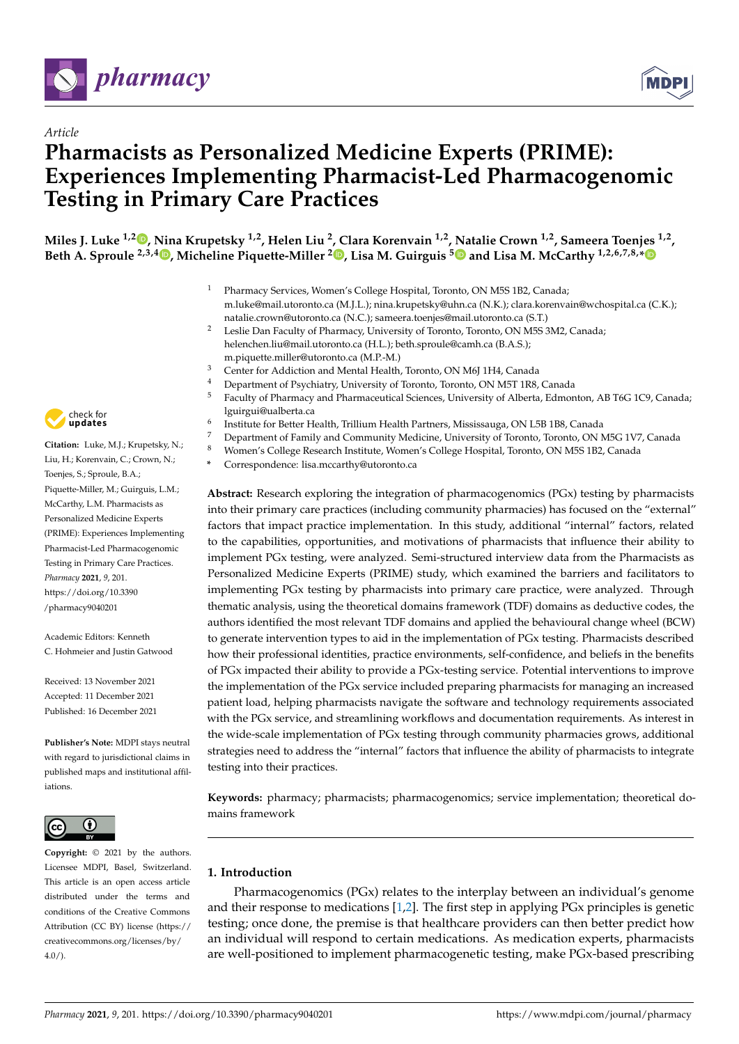



# **Pharmacists as Personalized Medicine Experts (PRIME): Experiences Implementing Pharmacist-Led Pharmacogenomic Testing in Primary Care Practices**

**Miles J. Luke 1,2 [,](https://orcid.org/0000-0002-7368-8868) Nina Krupetsky 1,2, Helen Liu <sup>2</sup> , Clara Korenvain 1,2, Natalie Crown 1,2, Sameera Toenjes 1,2 , Beth A. Sproule 2,3,[4](https://orcid.org/0000-0001-7960-3696) , Micheline Piquette-Miller [2](https://orcid.org/0000-0002-3847-8224) , Lisa M. Guirguis [5](https://orcid.org/0000-0002-7773-4403) and Lisa M. McCarthy 1,2,6,7,8,[\\*](https://orcid.org/0000-0001-9087-1077)**

- <sup>1</sup> Pharmacy Services, Women's College Hospital, Toronto, ON M5S 1B2, Canada; m.luke@mail.utoronto.ca (M.J.L.); nina.krupetsky@uhn.ca (N.K.); clara.korenvain@wchospital.ca (C.K.); natalie.crown@utoronto.ca (N.C.); sameera.toenjes@mail.utoronto.ca (S.T.)
- <sup>2</sup> Leslie Dan Faculty of Pharmacy, University of Toronto, Toronto, ON M5S 3M2, Canada; helenchen.liu@mail.utoronto.ca (H.L.); beth.sproule@camh.ca (B.A.S.); m.piquette.miller@utoronto.ca (M.P.-M.)
- <sup>3</sup> Center for Addiction and Mental Health, Toronto, ON M6J 1H4, Canada
- <sup>4</sup> Department of Psychiatry, University of Toronto, Toronto, ON M5T 1R8, Canada
- <sup>5</sup> Faculty of Pharmacy and Pharmaceutical Sciences, University of Alberta, Edmonton, AB T6G 1C9, Canada; lguirgui@ualberta.ca 6
	- Institute for Better Health, Trillium Health Partners, Mississauga, ON L5B 1B8, Canada
- <sup>7</sup> Department of Family and Community Medicine, University of Toronto, Toronto, ON M5G 1V7, Canada
- <sup>8</sup> Women's College Research Institute, Women's College Hospital, Toronto, ON M5S 1B2, Canada
	- **\*** Correspondence: lisa.mccarthy@utoronto.ca

**Abstract:** Research exploring the integration of pharmacogenomics (PGx) testing by pharmacists into their primary care practices (including community pharmacies) has focused on the "external" factors that impact practice implementation. In this study, additional "internal" factors, related to the capabilities, opportunities, and motivations of pharmacists that influence their ability to implement PGx testing, were analyzed. Semi-structured interview data from the Pharmacists as Personalized Medicine Experts (PRIME) study, which examined the barriers and facilitators to implementing PGx testing by pharmacists into primary care practice, were analyzed. Through thematic analysis, using the theoretical domains framework (TDF) domains as deductive codes, the authors identified the most relevant TDF domains and applied the behavioural change wheel (BCW) to generate intervention types to aid in the implementation of PGx testing. Pharmacists described how their professional identities, practice environments, self-confidence, and beliefs in the benefits of PGx impacted their ability to provide a PGx-testing service. Potential interventions to improve the implementation of the PGx service included preparing pharmacists for managing an increased patient load, helping pharmacists navigate the software and technology requirements associated with the PGx service, and streamlining workflows and documentation requirements. As interest in the wide-scale implementation of PGx testing through community pharmacies grows, additional strategies need to address the "internal" factors that influence the ability of pharmacists to integrate testing into their practices.

**Keywords:** pharmacy; pharmacists; pharmacogenomics; service implementation; theoretical domains framework

# **1. Introduction**

Pharmacogenomics (PGx) relates to the interplay between an individual's genome and their response to medications [\[1](#page-10-0)[,2\]](#page-10-1). The first step in applying PGx principles is genetic testing; once done, the premise is that healthcare providers can then better predict how an individual will respond to certain medications. As medication experts, pharmacists are well-positioned to implement pharmacogenetic testing, make PGx-based prescribing



*Article*

**Citation:** Luke, M.J.; Krupetsky, N.; Liu, H.; Korenvain, C.; Crown, N.; Toenjes, S.; Sproule, B.A.; Piquette-Miller, M.; Guirguis, L.M.; McCarthy, L.M. Pharmacists as Personalized Medicine Experts (PRIME): Experiences Implementing Pharmacist-Led Pharmacogenomic Testing in Primary Care Practices. *Pharmacy* **2021**, *9*, 201. [https://doi.org/10.3390](https://doi.org/10.3390/pharmacy9040201) [/pharmacy9040201](https://doi.org/10.3390/pharmacy9040201)

Academic Editors: Kenneth C. Hohmeier and Justin Gatwood

Received: 13 November 2021 Accepted: 11 December 2021 Published: 16 December 2021

**Publisher's Note:** MDPI stays neutral with regard to jurisdictional claims in published maps and institutional affiliations.



**Copyright:** © 2021 by the authors. Licensee MDPI, Basel, Switzerland. This article is an open access article distributed under the terms and conditions of the Creative Commons Attribution (CC BY) license (https:/[/](https://creativecommons.org/licenses/by/4.0/) [creativecommons.org/licenses/by/](https://creativecommons.org/licenses/by/4.0/)  $4.0/$ ).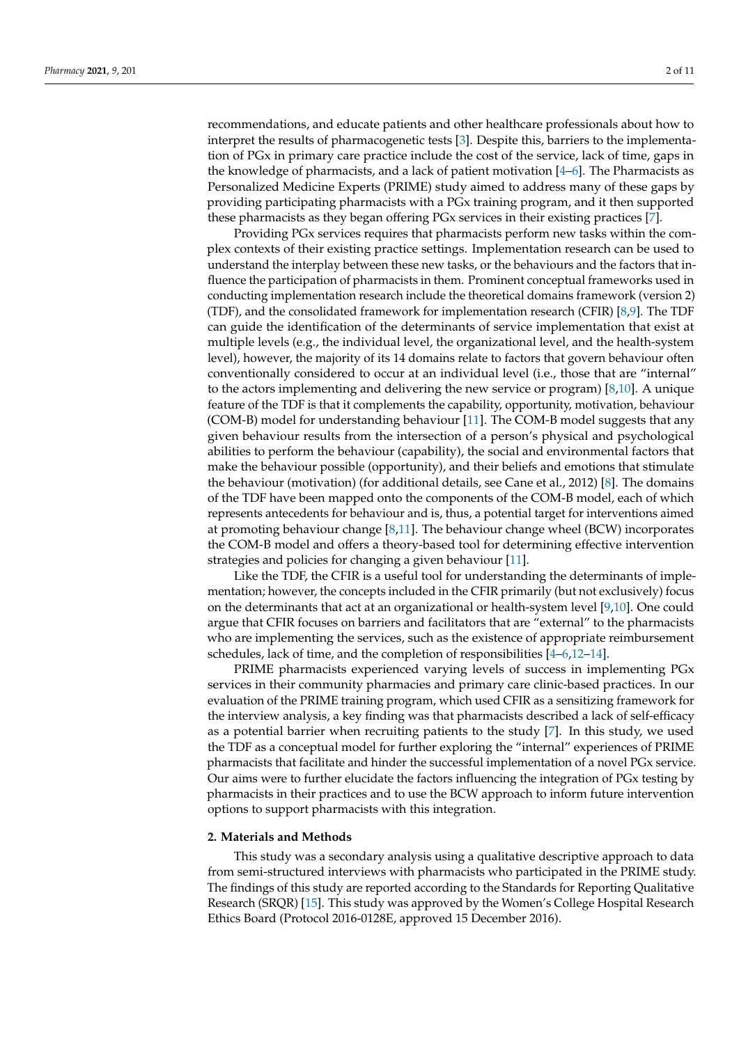recommendations, and educate patients and other healthcare professionals about how to interpret the results of pharmacogenetic tests [\[3\]](#page-10-2). Despite this, barriers to the implementation of PGx in primary care practice include the cost of the service, lack of time, gaps in the knowledge of pharmacists, and a lack of patient motivation  $[4–6]$  $[4–6]$ . The Pharmacists as Personalized Medicine Experts (PRIME) study aimed to address many of these gaps by providing participating pharmacists with a PGx training program, and it then supported these pharmacists as they began offering PGx services in their existing practices [\[7\]](#page-10-5).

Providing PGx services requires that pharmacists perform new tasks within the complex contexts of their existing practice settings. Implementation research can be used to understand the interplay between these new tasks, or the behaviours and the factors that influence the participation of pharmacists in them. Prominent conceptual frameworks used in conducting implementation research include the theoretical domains framework (version 2) (TDF), and the consolidated framework for implementation research (CFIR) [\[8,](#page-10-6)[9\]](#page-10-7). The TDF can guide the identification of the determinants of service implementation that exist at multiple levels (e.g., the individual level, the organizational level, and the health-system level), however, the majority of its 14 domains relate to factors that govern behaviour often conventionally considered to occur at an individual level (i.e., those that are "internal" to the actors implementing and delivering the new service or program) [\[8](#page-10-6)[,10\]](#page-10-8). A unique feature of the TDF is that it complements the capability, opportunity, motivation, behaviour (COM-B) model for understanding behaviour [\[11\]](#page-10-9). The COM-B model suggests that any given behaviour results from the intersection of a person's physical and psychological abilities to perform the behaviour (capability), the social and environmental factors that make the behaviour possible (opportunity), and their beliefs and emotions that stimulate the behaviour (motivation) (for additional details, see Cane et al., 2012) [\[8\]](#page-10-6). The domains of the TDF have been mapped onto the components of the COM-B model, each of which represents antecedents for behaviour and is, thus, a potential target for interventions aimed at promoting behaviour change [\[8,](#page-10-6)[11\]](#page-10-9). The behaviour change wheel (BCW) incorporates the COM-B model and offers a theory-based tool for determining effective intervention strategies and policies for changing a given behaviour [\[11\]](#page-10-9).

Like the TDF, the CFIR is a useful tool for understanding the determinants of implementation; however, the concepts included in the CFIR primarily (but not exclusively) focus on the determinants that act at an organizational or health-system level [\[9,](#page-10-7)[10\]](#page-10-8). One could argue that CFIR focuses on barriers and facilitators that are "external" to the pharmacists who are implementing the services, such as the existence of appropriate reimbursement schedules, lack of time, and the completion of responsibilities  $[4-6,12-14]$  $[4-6,12-14]$  $[4-6,12-14]$  $[4-6,12-14]$ .

PRIME pharmacists experienced varying levels of success in implementing PGx services in their community pharmacies and primary care clinic-based practices. In our evaluation of the PRIME training program, which used CFIR as a sensitizing framework for the interview analysis, a key finding was that pharmacists described a lack of self-efficacy as a potential barrier when recruiting patients to the study [\[7\]](#page-10-5). In this study, we used the TDF as a conceptual model for further exploring the "internal" experiences of PRIME pharmacists that facilitate and hinder the successful implementation of a novel PGx service. Our aims were to further elucidate the factors influencing the integration of PGx testing by pharmacists in their practices and to use the BCW approach to inform future intervention options to support pharmacists with this integration.

## **2. Materials and Methods**

This study was a secondary analysis using a qualitative descriptive approach to data from semi-structured interviews with pharmacists who participated in the PRIME study. The findings of this study are reported according to the Standards for Reporting Qualitative Research (SRQR) [\[15\]](#page-10-12). This study was approved by the Women's College Hospital Research Ethics Board (Protocol 2016-0128E, approved 15 December 2016).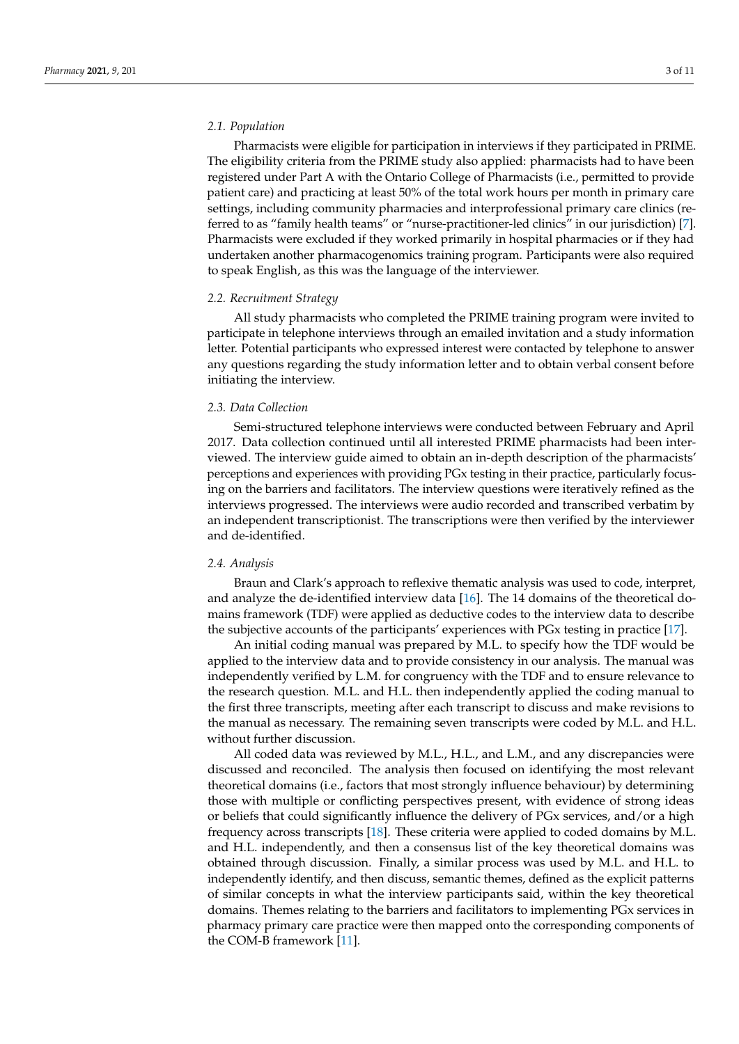# *2.1. Population*

Pharmacists were eligible for participation in interviews if they participated in PRIME. The eligibility criteria from the PRIME study also applied: pharmacists had to have been registered under Part A with the Ontario College of Pharmacists (i.e., permitted to provide patient care) and practicing at least 50% of the total work hours per month in primary care settings, including community pharmacies and interprofessional primary care clinics (referred to as "family health teams" or "nurse-practitioner-led clinics" in our jurisdiction) [\[7\]](#page-10-5). Pharmacists were excluded if they worked primarily in hospital pharmacies or if they had undertaken another pharmacogenomics training program. Participants were also required to speak English, as this was the language of the interviewer.

#### *2.2. Recruitment Strategy*

All study pharmacists who completed the PRIME training program were invited to participate in telephone interviews through an emailed invitation and a study information letter. Potential participants who expressed interest were contacted by telephone to answer any questions regarding the study information letter and to obtain verbal consent before initiating the interview.

## *2.3. Data Collection*

Semi-structured telephone interviews were conducted between February and April 2017. Data collection continued until all interested PRIME pharmacists had been interviewed. The interview guide aimed to obtain an in-depth description of the pharmacists' perceptions and experiences with providing PGx testing in their practice, particularly focusing on the barriers and facilitators. The interview questions were iteratively refined as the interviews progressed. The interviews were audio recorded and transcribed verbatim by an independent transcriptionist. The transcriptions were then verified by the interviewer and de-identified.

# *2.4. Analysis*

Braun and Clark's approach to reflexive thematic analysis was used to code, interpret, and analyze the de-identified interview data [\[16\]](#page-10-13). The 14 domains of the theoretical domains framework (TDF) were applied as deductive codes to the interview data to describe the subjective accounts of the participants' experiences with PGx testing in practice [\[17\]](#page-10-14).

An initial coding manual was prepared by M.L. to specify how the TDF would be applied to the interview data and to provide consistency in our analysis. The manual was independently verified by L.M. for congruency with the TDF and to ensure relevance to the research question. M.L. and H.L. then independently applied the coding manual to the first three transcripts, meeting after each transcript to discuss and make revisions to the manual as necessary. The remaining seven transcripts were coded by M.L. and H.L. without further discussion.

All coded data was reviewed by M.L., H.L., and L.M., and any discrepancies were discussed and reconciled. The analysis then focused on identifying the most relevant theoretical domains (i.e., factors that most strongly influence behaviour) by determining those with multiple or conflicting perspectives present, with evidence of strong ideas or beliefs that could significantly influence the delivery of PGx services, and/or a high frequency across transcripts [\[18\]](#page-10-15). These criteria were applied to coded domains by M.L. and H.L. independently, and then a consensus list of the key theoretical domains was obtained through discussion. Finally, a similar process was used by M.L. and H.L. to independently identify, and then discuss, semantic themes, defined as the explicit patterns of similar concepts in what the interview participants said, within the key theoretical domains. Themes relating to the barriers and facilitators to implementing PGx services in pharmacy primary care practice were then mapped onto the corresponding components of the COM-B framework [\[11\]](#page-10-9).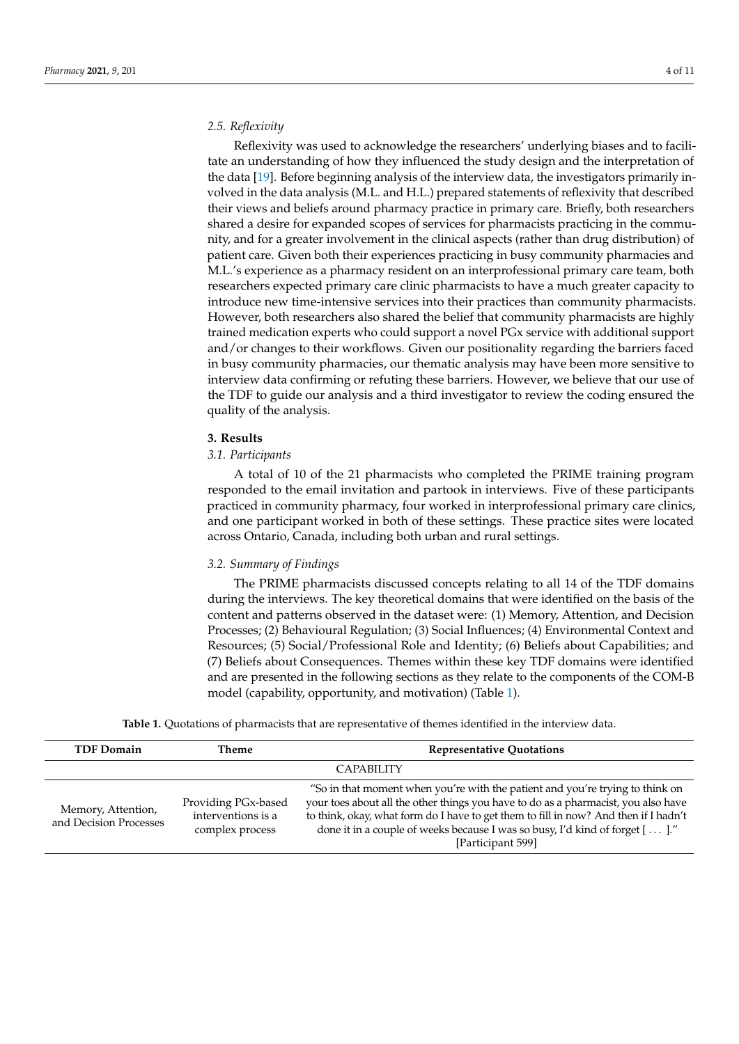# *2.5. Reflexivity*

Reflexivity was used to acknowledge the researchers' underlying biases and to facilitate an understanding of how they influenced the study design and the interpretation of the data [\[19\]](#page-10-16). Before beginning analysis of the interview data, the investigators primarily involved in the data analysis (M.L. and H.L.) prepared statements of reflexivity that described their views and beliefs around pharmacy practice in primary care. Briefly, both researchers shared a desire for expanded scopes of services for pharmacists practicing in the community, and for a greater involvement in the clinical aspects (rather than drug distribution) of patient care. Given both their experiences practicing in busy community pharmacies and M.L.'s experience as a pharmacy resident on an interprofessional primary care team, both researchers expected primary care clinic pharmacists to have a much greater capacity to introduce new time-intensive services into their practices than community pharmacists. However, both researchers also shared the belief that community pharmacists are highly trained medication experts who could support a novel PGx service with additional support and/or changes to their workflows. Given our positionality regarding the barriers faced in busy community pharmacies, our thematic analysis may have been more sensitive to interview data confirming or refuting these barriers. However, we believe that our use of the TDF to guide our analysis and a third investigator to review the coding ensured the quality of the analysis.

## **3. Results**

# *3.1. Participants*

A total of 10 of the 21 pharmacists who completed the PRIME training program responded to the email invitation and partook in interviews. Five of these participants practiced in community pharmacy, four worked in interprofessional primary care clinics, and one participant worked in both of these settings. These practice sites were located across Ontario, Canada, including both urban and rural settings.

#### *3.2. Summary of Findings*

The PRIME pharmacists discussed concepts relating to all 14 of the TDF domains during the interviews. The key theoretical domains that were identified on the basis of the content and patterns observed in the dataset were: (1) Memory, Attention, and Decision Processes; (2) Behavioural Regulation; (3) Social Influences; (4) Environmental Context and Resources; (5) Social/Professional Role and Identity; (6) Beliefs about Capabilities; and (7) Beliefs about Consequences. Themes within these key TDF domains were identified and are presented in the following sections as they relate to the components of the COM-B model (capability, opportunity, and motivation) (Table [1\)](#page-5-0).

**Table 1.** Quotations of pharmacists that are representative of themes identified in the interview data.

| <b>TDF Domain</b>                            | Theme                                                        | <b>Representative Quotations</b>                                                                                                                                                                                                                                                                                                                                |
|----------------------------------------------|--------------------------------------------------------------|-----------------------------------------------------------------------------------------------------------------------------------------------------------------------------------------------------------------------------------------------------------------------------------------------------------------------------------------------------------------|
|                                              |                                                              | <b>CAPABILITY</b>                                                                                                                                                                                                                                                                                                                                               |
| Memory, Attention,<br>and Decision Processes | Providing PGx-based<br>interventions is a<br>complex process | "So in that moment when you're with the patient and you're trying to think on<br>your toes about all the other things you have to do as a pharmacist, you also have<br>to think, okay, what form do I have to get them to fill in now? And then if I hadn't<br>done it in a couple of weeks because I was so busy, I'd kind of forget []."<br>[Participant 599] |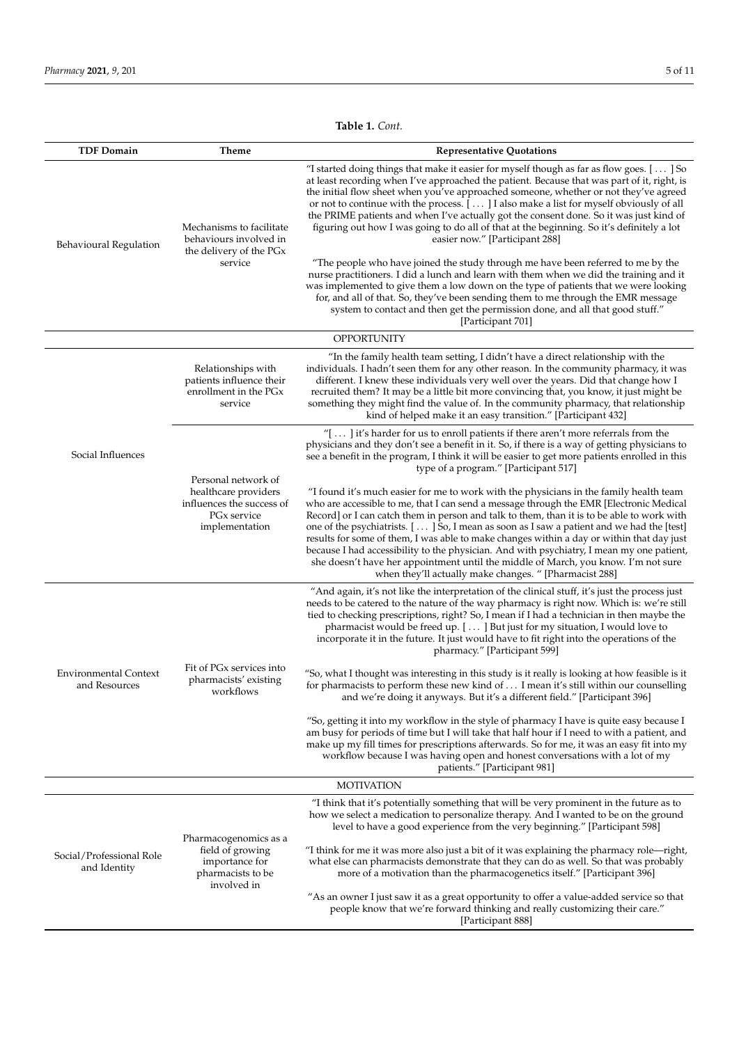**Table 1.** *Cont.*

| <b>TDF Domain</b>                             | Theme                                                                                                                 | <b>Representative Quotations</b>                                                                                                                                                                                                                                                                                                                                                                                                                                                                                                                                                                                                                                                                                              |  |  |
|-----------------------------------------------|-----------------------------------------------------------------------------------------------------------------------|-------------------------------------------------------------------------------------------------------------------------------------------------------------------------------------------------------------------------------------------------------------------------------------------------------------------------------------------------------------------------------------------------------------------------------------------------------------------------------------------------------------------------------------------------------------------------------------------------------------------------------------------------------------------------------------------------------------------------------|--|--|
| Behavioural Regulation                        | Mechanisms to facilitate<br>behaviours involved in<br>the delivery of the PGx<br>service                              | "I started doing things that make it easier for myself though as far as flow goes. [] So<br>at least recording when I've approached the patient. Because that was part of it, right, is<br>the initial flow sheet when you've approached someone, whether or not they've agreed<br>or not to continue with the process. [] I also make a list for myself obviously of all<br>the PRIME patients and when I've actually got the consent done. So it was just kind of<br>figuring out how I was going to do all of that at the beginning. So it's definitely a lot<br>easier now." [Participant 288]                                                                                                                            |  |  |
|                                               |                                                                                                                       | "The people who have joined the study through me have been referred to me by the<br>nurse practitioners. I did a lunch and learn with them when we did the training and it<br>was implemented to give them a low down on the type of patients that we were looking<br>for, and all of that. So, they've been sending them to me through the EMR message<br>system to contact and then get the permission done, and all that good stuff."<br>[Participant 701]                                                                                                                                                                                                                                                                 |  |  |
|                                               |                                                                                                                       | <b>OPPORTUNITY</b>                                                                                                                                                                                                                                                                                                                                                                                                                                                                                                                                                                                                                                                                                                            |  |  |
| Social Influences                             | Relationships with<br>patients influence their<br>enrollment in the PG <sub>x</sub><br>service                        | "In the family health team setting, I didn't have a direct relationship with the<br>individuals. I hadn't seen them for any other reason. In the community pharmacy, it was<br>different. I knew these individuals very well over the years. Did that change how I<br>recruited them? It may be a little bit more convincing that, you know, it just might be<br>something they might find the value of. In the community pharmacy, that relationship<br>kind of helped make it an easy transition." [Participant 432]                                                                                                                                                                                                        |  |  |
|                                               | Personal network of<br>healthcare providers<br>influences the success of<br>PG <sub>x</sub> service<br>implementation | "[ $\ldots$ ] it's harder for us to enroll patients if there aren't more referrals from the<br>physicians and they don't see a benefit in it. So, if there is a way of getting physicians to<br>see a benefit in the program, I think it will be easier to get more patients enrolled in this<br>type of a program." [Participant 517]                                                                                                                                                                                                                                                                                                                                                                                        |  |  |
|                                               |                                                                                                                       | "I found it's much easier for me to work with the physicians in the family health team<br>who are accessible to me, that I can send a message through the EMR [Electronic Medical<br>Record] or I can catch them in person and talk to them, than it is to be able to work with<br>one of the psychiatrists. $[\ldots]$ So, I mean as soon as I saw a patient and we had the [test]<br>results for some of them, I was able to make changes within a day or within that day just<br>because I had accessibility to the physician. And with psychiatry, I mean my one patient,<br>she doesn't have her appointment until the middle of March, you know. I'm not sure<br>when they'll actually make changes. " [Pharmacist 288] |  |  |
| <b>Environmental Context</b><br>and Resources | Fit of PG <sub>x</sub> services into<br>pharmacists' existing<br>workflows                                            | "And again, it's not like the interpretation of the clinical stuff, it's just the process just<br>needs to be catered to the nature of the way pharmacy is right now. Which is: we're still<br>tied to checking prescriptions, right? So, I mean if I had a technician in then maybe the<br>pharmacist would be freed up. [] But just for my situation, I would love to<br>incorporate it in the future. It just would have to fit right into the operations of the<br>pharmacy." [Participant 599]                                                                                                                                                                                                                           |  |  |
|                                               |                                                                                                                       | "So, what I thought was interesting in this study is it really is looking at how feasible is it<br>for pharmacists to perform these new kind of $\dots$ I mean it's still within our counselling<br>and we're doing it anyways. But it's a different field." [Participant 396]                                                                                                                                                                                                                                                                                                                                                                                                                                                |  |  |
|                                               |                                                                                                                       | "So, getting it into my workflow in the style of pharmacy I have is quite easy because I<br>am busy for periods of time but I will take that half hour if I need to with a patient, and<br>make up my fill times for prescriptions afterwards. So for me, it was an easy fit into my<br>workflow because I was having open and honest conversations with a lot of my<br>patients." [Participant 981]                                                                                                                                                                                                                                                                                                                          |  |  |
| <b>MOTIVATION</b>                             |                                                                                                                       |                                                                                                                                                                                                                                                                                                                                                                                                                                                                                                                                                                                                                                                                                                                               |  |  |
| Social/Professional Role<br>and Identity      | Pharmacogenomics as a<br>field of growing<br>importance for<br>pharmacists to be<br>involved in                       | "I think that it's potentially something that will be very prominent in the future as to<br>how we select a medication to personalize therapy. And I wanted to be on the ground<br>level to have a good experience from the very beginning." [Participant 598]                                                                                                                                                                                                                                                                                                                                                                                                                                                                |  |  |
|                                               |                                                                                                                       | "I think for me it was more also just a bit of it was explaining the pharmacy role—right,<br>what else can pharmacists demonstrate that they can do as well. So that was probably<br>more of a motivation than the pharmacogenetics itself." [Participant 396]                                                                                                                                                                                                                                                                                                                                                                                                                                                                |  |  |
|                                               |                                                                                                                       | "As an owner I just saw it as a great opportunity to offer a value-added service so that<br>people know that we're forward thinking and really customizing their care."<br>[Participant 888]                                                                                                                                                                                                                                                                                                                                                                                                                                                                                                                                  |  |  |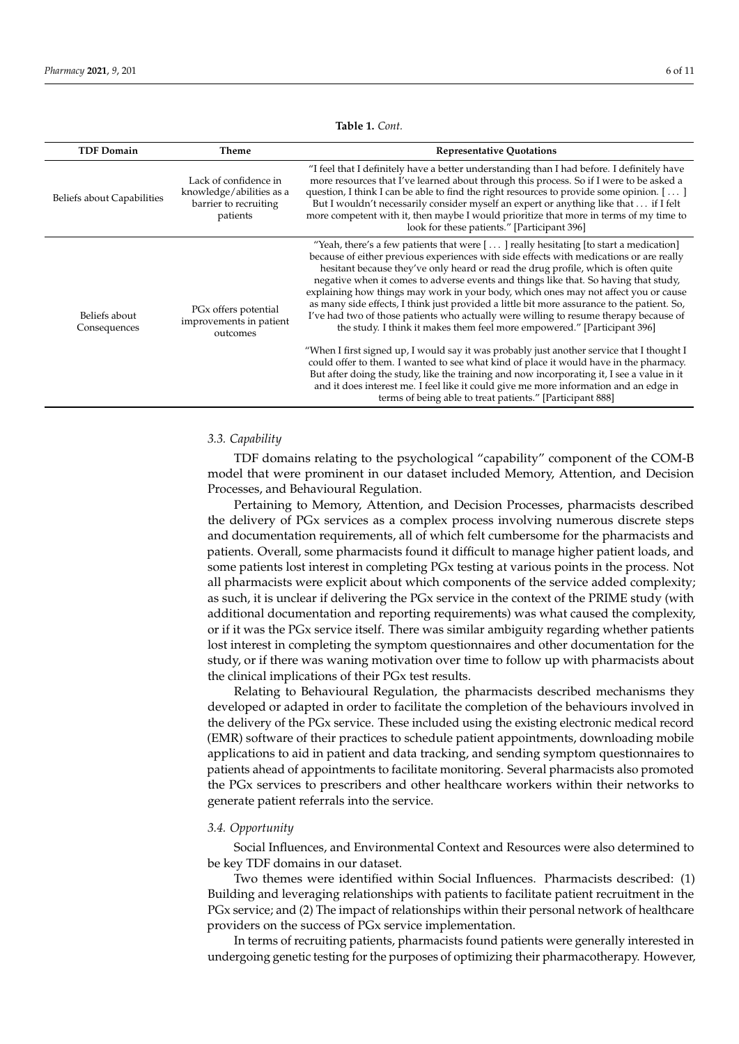<span id="page-5-0"></span>

| <b>TDF Domain</b>             | Theme                                                                                  | <b>Representative Quotations</b>                                                                                                                                                                                                                                                                                                                                                                                                                                                                                                                                                                                                                                                                                                |
|-------------------------------|----------------------------------------------------------------------------------------|---------------------------------------------------------------------------------------------------------------------------------------------------------------------------------------------------------------------------------------------------------------------------------------------------------------------------------------------------------------------------------------------------------------------------------------------------------------------------------------------------------------------------------------------------------------------------------------------------------------------------------------------------------------------------------------------------------------------------------|
| Beliefs about Capabilities    | Lack of confidence in<br>knowledge/abilities as a<br>barrier to recruiting<br>patients | "I feel that I definitely have a better understanding than I had before. I definitely have<br>more resources that I've learned about through this process. So if I were to be asked a<br>question, I think I can be able to find the right resources to provide some opinion. $[\,\dots\,]$<br>But I wouldn't necessarily consider myself an expert or anything like that  if I felt<br>more competent with it, then maybe I would prioritize that more in terms of my time to<br>look for these patients." [Participant 396]                                                                                                                                                                                                   |
| Beliefs about<br>Consequences | PG <sub>x</sub> offers potential<br>improvements in patient<br>outcomes                | "Yeah, there's a few patients that were $[\dots]$ really hesitating [to start a medication]<br>because of either previous experiences with side effects with medications or are really<br>hesitant because they've only heard or read the drug profile, which is often quite<br>negative when it comes to adverse events and things like that. So having that study,<br>explaining how things may work in your body, which ones may not affect you or cause<br>as many side effects, I think just provided a little bit more assurance to the patient. So,<br>I've had two of those patients who actually were willing to resume therapy because of<br>the study. I think it makes them feel more empowered." [Participant 396] |
|                               |                                                                                        | "When I first signed up, I would say it was probably just another service that I thought I<br>could offer to them. I wanted to see what kind of place it would have in the pharmacy.<br>But after doing the study, like the training and now incorporating it, I see a value in it<br>and it does interest me. I feel like it could give me more information and an edge in<br>terms of being able to treat patients." [Participant 888]                                                                                                                                                                                                                                                                                        |

**Table 1.** *Cont.*

# *3.3. Capability*

TDF domains relating to the psychological "capability" component of the COM-B model that were prominent in our dataset included Memory, Attention, and Decision Processes, and Behavioural Regulation.

Pertaining to Memory, Attention, and Decision Processes, pharmacists described the delivery of PGx services as a complex process involving numerous discrete steps and documentation requirements, all of which felt cumbersome for the pharmacists and patients. Overall, some pharmacists found it difficult to manage higher patient loads, and some patients lost interest in completing PGx testing at various points in the process. Not all pharmacists were explicit about which components of the service added complexity; as such, it is unclear if delivering the PGx service in the context of the PRIME study (with additional documentation and reporting requirements) was what caused the complexity, or if it was the PGx service itself. There was similar ambiguity regarding whether patients lost interest in completing the symptom questionnaires and other documentation for the study, or if there was waning motivation over time to follow up with pharmacists about the clinical implications of their PGx test results.

Relating to Behavioural Regulation, the pharmacists described mechanisms they developed or adapted in order to facilitate the completion of the behaviours involved in the delivery of the PGx service. These included using the existing electronic medical record (EMR) software of their practices to schedule patient appointments, downloading mobile applications to aid in patient and data tracking, and sending symptom questionnaires to patients ahead of appointments to facilitate monitoring. Several pharmacists also promoted the PGx services to prescribers and other healthcare workers within their networks to generate patient referrals into the service.

#### *3.4. Opportunity*

Social Influences, and Environmental Context and Resources were also determined to be key TDF domains in our dataset.

Two themes were identified within Social Influences. Pharmacists described: (1) Building and leveraging relationships with patients to facilitate patient recruitment in the PGx service; and (2) The impact of relationships within their personal network of healthcare providers on the success of PGx service implementation.

In terms of recruiting patients, pharmacists found patients were generally interested in undergoing genetic testing for the purposes of optimizing their pharmacotherapy. However,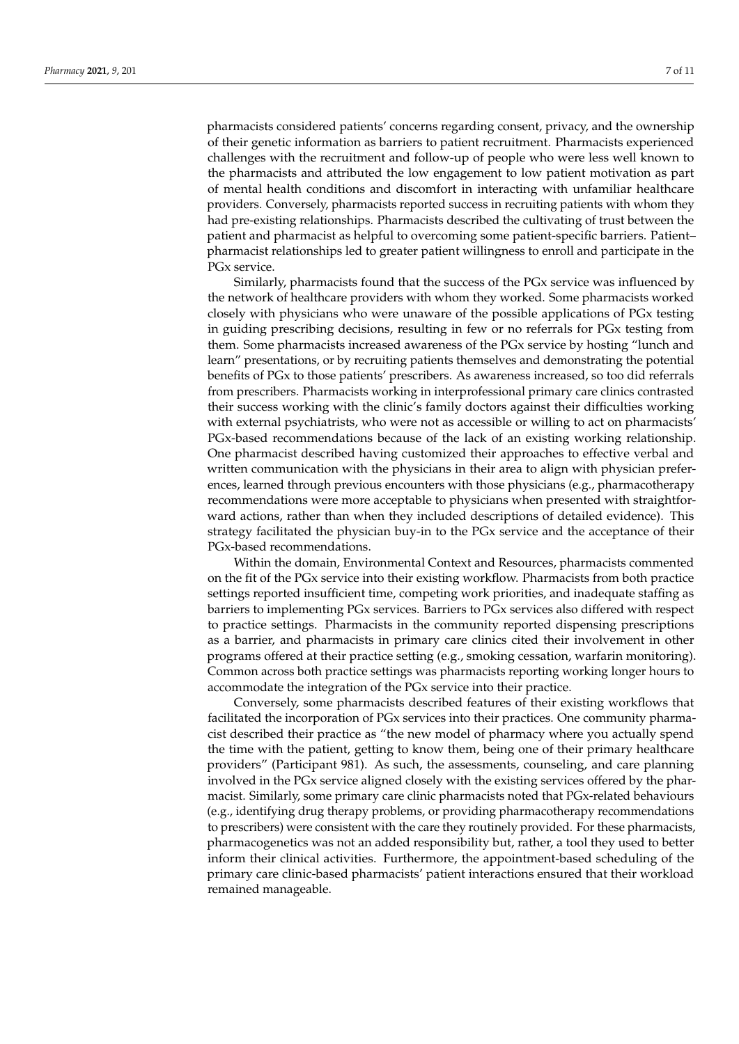pharmacists considered patients' concerns regarding consent, privacy, and the ownership of their genetic information as barriers to patient recruitment. Pharmacists experienced challenges with the recruitment and follow-up of people who were less well known to the pharmacists and attributed the low engagement to low patient motivation as part of mental health conditions and discomfort in interacting with unfamiliar healthcare providers. Conversely, pharmacists reported success in recruiting patients with whom they had pre-existing relationships. Pharmacists described the cultivating of trust between the patient and pharmacist as helpful to overcoming some patient-specific barriers. Patient– pharmacist relationships led to greater patient willingness to enroll and participate in the PGx service.

Similarly, pharmacists found that the success of the PGx service was influenced by the network of healthcare providers with whom they worked. Some pharmacists worked closely with physicians who were unaware of the possible applications of PGx testing in guiding prescribing decisions, resulting in few or no referrals for PGx testing from them. Some pharmacists increased awareness of the PGx service by hosting "lunch and learn" presentations, or by recruiting patients themselves and demonstrating the potential benefits of PGx to those patients' prescribers. As awareness increased, so too did referrals from prescribers. Pharmacists working in interprofessional primary care clinics contrasted their success working with the clinic's family doctors against their difficulties working with external psychiatrists, who were not as accessible or willing to act on pharmacists' PGx-based recommendations because of the lack of an existing working relationship. One pharmacist described having customized their approaches to effective verbal and written communication with the physicians in their area to align with physician preferences, learned through previous encounters with those physicians (e.g., pharmacotherapy recommendations were more acceptable to physicians when presented with straightforward actions, rather than when they included descriptions of detailed evidence). This strategy facilitated the physician buy-in to the PGx service and the acceptance of their PGx-based recommendations.

Within the domain, Environmental Context and Resources, pharmacists commented on the fit of the PGx service into their existing workflow. Pharmacists from both practice settings reported insufficient time, competing work priorities, and inadequate staffing as barriers to implementing PGx services. Barriers to PGx services also differed with respect to practice settings. Pharmacists in the community reported dispensing prescriptions as a barrier, and pharmacists in primary care clinics cited their involvement in other programs offered at their practice setting (e.g., smoking cessation, warfarin monitoring). Common across both practice settings was pharmacists reporting working longer hours to accommodate the integration of the PGx service into their practice.

Conversely, some pharmacists described features of their existing workflows that facilitated the incorporation of PGx services into their practices. One community pharmacist described their practice as "the new model of pharmacy where you actually spend the time with the patient, getting to know them, being one of their primary healthcare providers" (Participant 981). As such, the assessments, counseling, and care planning involved in the PGx service aligned closely with the existing services offered by the pharmacist. Similarly, some primary care clinic pharmacists noted that PGx-related behaviours (e.g., identifying drug therapy problems, or providing pharmacotherapy recommendations to prescribers) were consistent with the care they routinely provided. For these pharmacists, pharmacogenetics was not an added responsibility but, rather, a tool they used to better inform their clinical activities. Furthermore, the appointment-based scheduling of the primary care clinic-based pharmacists' patient interactions ensured that their workload remained manageable.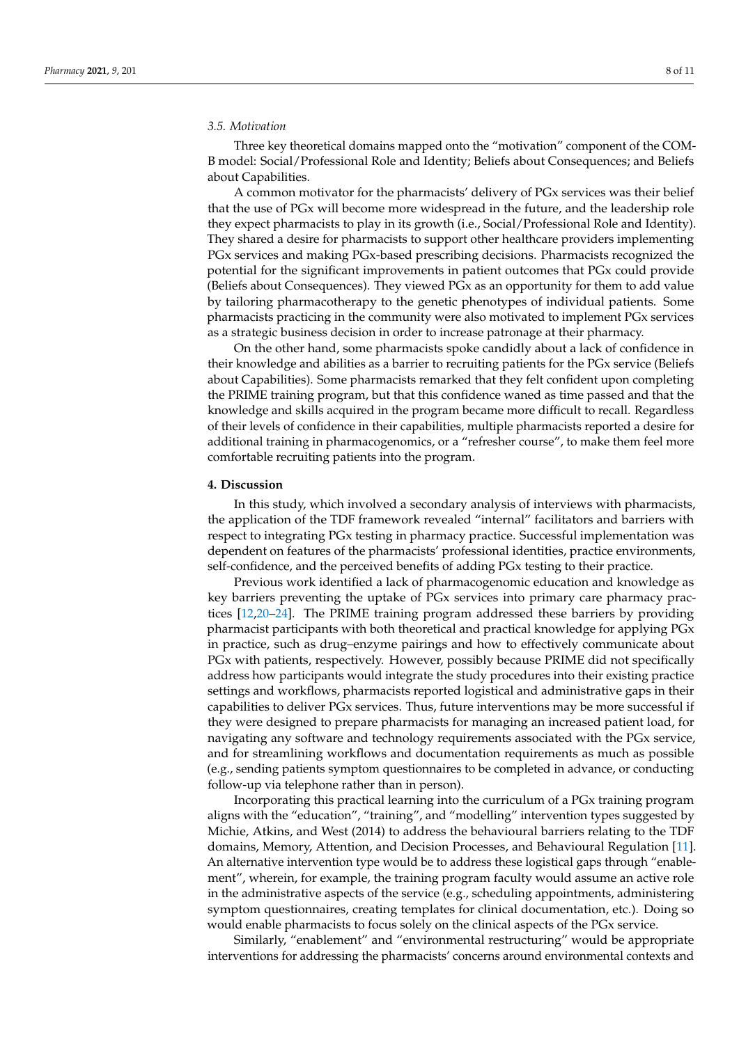# *3.5. Motivation*

Three key theoretical domains mapped onto the "motivation" component of the COM-B model: Social/Professional Role and Identity; Beliefs about Consequences; and Beliefs about Capabilities.

A common motivator for the pharmacists' delivery of PGx services was their belief that the use of PGx will become more widespread in the future, and the leadership role they expect pharmacists to play in its growth (i.e., Social/Professional Role and Identity). They shared a desire for pharmacists to support other healthcare providers implementing PGx services and making PGx-based prescribing decisions. Pharmacists recognized the potential for the significant improvements in patient outcomes that PGx could provide (Beliefs about Consequences). They viewed PGx as an opportunity for them to add value by tailoring pharmacotherapy to the genetic phenotypes of individual patients. Some pharmacists practicing in the community were also motivated to implement PGx services as a strategic business decision in order to increase patronage at their pharmacy.

On the other hand, some pharmacists spoke candidly about a lack of confidence in their knowledge and abilities as a barrier to recruiting patients for the PGx service (Beliefs about Capabilities). Some pharmacists remarked that they felt confident upon completing the PRIME training program, but that this confidence waned as time passed and that the knowledge and skills acquired in the program became more difficult to recall. Regardless of their levels of confidence in their capabilities, multiple pharmacists reported a desire for additional training in pharmacogenomics, or a "refresher course", to make them feel more comfortable recruiting patients into the program.

# **4. Discussion**

In this study, which involved a secondary analysis of interviews with pharmacists, the application of the TDF framework revealed "internal" facilitators and barriers with respect to integrating PGx testing in pharmacy practice. Successful implementation was dependent on features of the pharmacists' professional identities, practice environments, self-confidence, and the perceived benefits of adding PGx testing to their practice.

Previous work identified a lack of pharmacogenomic education and knowledge as key barriers preventing the uptake of PGx services into primary care pharmacy practices [\[12](#page-10-10)[,20–](#page-10-17)[24\]](#page-10-18). The PRIME training program addressed these barriers by providing pharmacist participants with both theoretical and practical knowledge for applying PGx in practice, such as drug–enzyme pairings and how to effectively communicate about PGx with patients, respectively. However, possibly because PRIME did not specifically address how participants would integrate the study procedures into their existing practice settings and workflows, pharmacists reported logistical and administrative gaps in their capabilities to deliver PGx services. Thus, future interventions may be more successful if they were designed to prepare pharmacists for managing an increased patient load, for navigating any software and technology requirements associated with the PGx service, and for streamlining workflows and documentation requirements as much as possible (e.g., sending patients symptom questionnaires to be completed in advance, or conducting follow-up via telephone rather than in person).

Incorporating this practical learning into the curriculum of a PGx training program aligns with the "education", "training", and "modelling" intervention types suggested by Michie, Atkins, and West (2014) to address the behavioural barriers relating to the TDF domains, Memory, Attention, and Decision Processes, and Behavioural Regulation [\[11\]](#page-10-9). An alternative intervention type would be to address these logistical gaps through "enablement", wherein, for example, the training program faculty would assume an active role in the administrative aspects of the service (e.g., scheduling appointments, administering symptom questionnaires, creating templates for clinical documentation, etc.). Doing so would enable pharmacists to focus solely on the clinical aspects of the PGx service.

Similarly, "enablement" and "environmental restructuring" would be appropriate interventions for addressing the pharmacists' concerns around environmental contexts and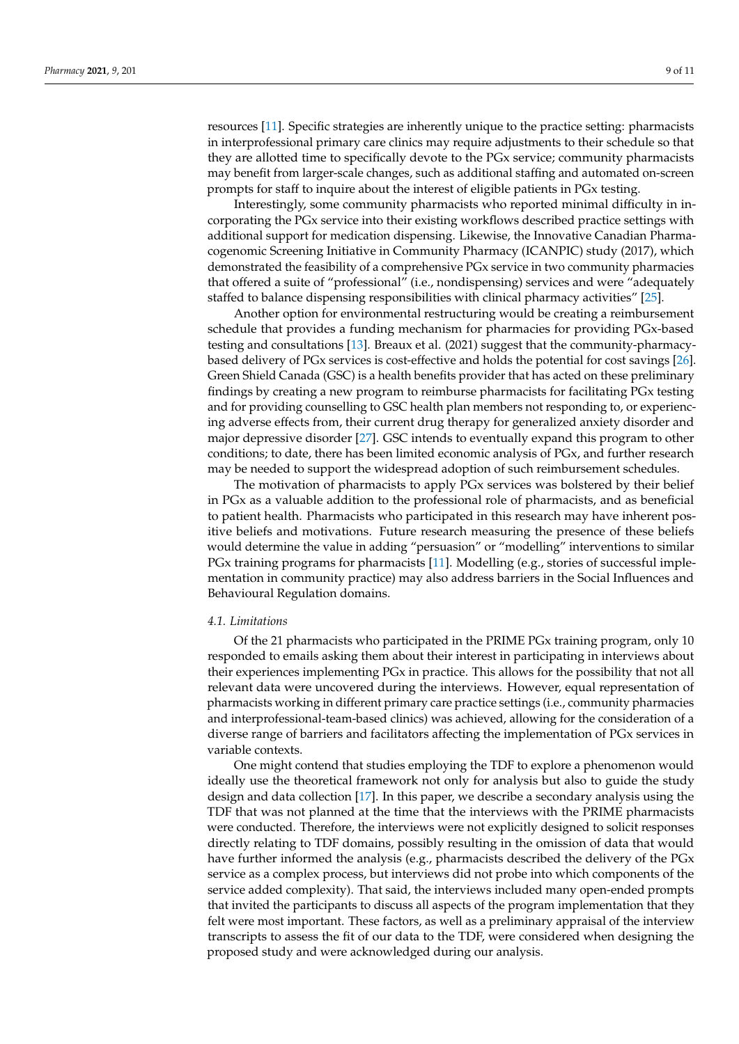resources [\[11\]](#page-10-9). Specific strategies are inherently unique to the practice setting: pharmacists in interprofessional primary care clinics may require adjustments to their schedule so that they are allotted time to specifically devote to the PGx service; community pharmacists may benefit from larger-scale changes, such as additional staffing and automated on-screen prompts for staff to inquire about the interest of eligible patients in PGx testing.

Interestingly, some community pharmacists who reported minimal difficulty in incorporating the PGx service into their existing workflows described practice settings with additional support for medication dispensing. Likewise, the Innovative Canadian Pharmacogenomic Screening Initiative in Community Pharmacy (ICANPIC) study (2017), which demonstrated the feasibility of a comprehensive PGx service in two community pharmacies that offered a suite of "professional" (i.e., nondispensing) services and were "adequately staffed to balance dispensing responsibilities with clinical pharmacy activities" [\[25\]](#page-10-19).

Another option for environmental restructuring would be creating a reimbursement schedule that provides a funding mechanism for pharmacies for providing PGx-based testing and consultations [\[13\]](#page-10-20). Breaux et al. (2021) suggest that the community-pharmacybased delivery of PGx services is cost-effective and holds the potential for cost savings [\[26\]](#page-10-21). Green Shield Canada (GSC) is a health benefits provider that has acted on these preliminary findings by creating a new program to reimburse pharmacists for facilitating PGx testing and for providing counselling to GSC health plan members not responding to, or experiencing adverse effects from, their current drug therapy for generalized anxiety disorder and major depressive disorder [\[27\]](#page-10-22). GSC intends to eventually expand this program to other conditions; to date, there has been limited economic analysis of PGx, and further research may be needed to support the widespread adoption of such reimbursement schedules.

The motivation of pharmacists to apply PGx services was bolstered by their belief in PGx as a valuable addition to the professional role of pharmacists, and as beneficial to patient health. Pharmacists who participated in this research may have inherent positive beliefs and motivations. Future research measuring the presence of these beliefs would determine the value in adding "persuasion" or "modelling" interventions to similar PGx training programs for pharmacists [\[11\]](#page-10-9). Modelling (e.g., stories of successful implementation in community practice) may also address barriers in the Social Influences and Behavioural Regulation domains.

#### *4.1. Limitations*

Of the 21 pharmacists who participated in the PRIME PGx training program, only 10 responded to emails asking them about their interest in participating in interviews about their experiences implementing PGx in practice. This allows for the possibility that not all relevant data were uncovered during the interviews. However, equal representation of pharmacists working in different primary care practice settings (i.e., community pharmacies and interprofessional-team-based clinics) was achieved, allowing for the consideration of a diverse range of barriers and facilitators affecting the implementation of PGx services in variable contexts.

One might contend that studies employing the TDF to explore a phenomenon would ideally use the theoretical framework not only for analysis but also to guide the study design and data collection [\[17\]](#page-10-14). In this paper, we describe a secondary analysis using the TDF that was not planned at the time that the interviews with the PRIME pharmacists were conducted. Therefore, the interviews were not explicitly designed to solicit responses directly relating to TDF domains, possibly resulting in the omission of data that would have further informed the analysis (e.g., pharmacists described the delivery of the PGx service as a complex process, but interviews did not probe into which components of the service added complexity). That said, the interviews included many open-ended prompts that invited the participants to discuss all aspects of the program implementation that they felt were most important. These factors, as well as a preliminary appraisal of the interview transcripts to assess the fit of our data to the TDF, were considered when designing the proposed study and were acknowledged during our analysis.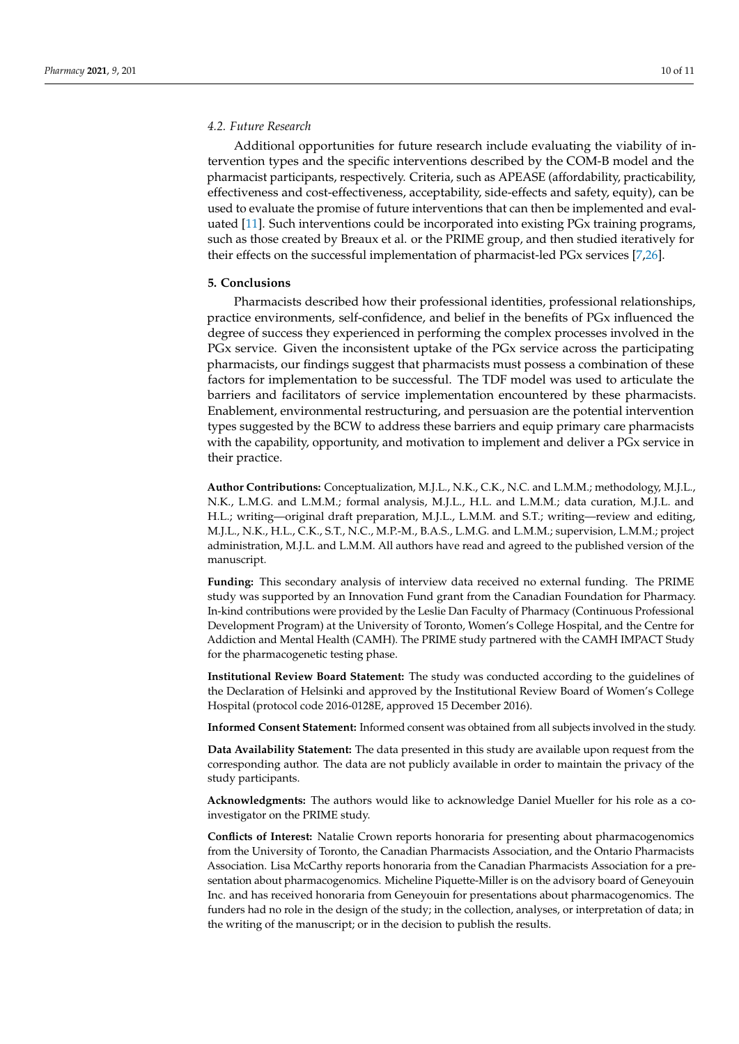# *4.2. Future Research*

Additional opportunities for future research include evaluating the viability of intervention types and the specific interventions described by the COM-B model and the pharmacist participants, respectively. Criteria, such as APEASE (affordability, practicability, effectiveness and cost-effectiveness, acceptability, side-effects and safety, equity), can be used to evaluate the promise of future interventions that can then be implemented and evaluated [\[11\]](#page-10-9). Such interventions could be incorporated into existing PGx training programs, such as those created by Breaux et al. or the PRIME group, and then studied iteratively for their effects on the successful implementation of pharmacist-led PGx services [\[7,](#page-10-5)[26\]](#page-10-21).

## **5. Conclusions**

Pharmacists described how their professional identities, professional relationships, practice environments, self-confidence, and belief in the benefits of PGx influenced the degree of success they experienced in performing the complex processes involved in the PGx service. Given the inconsistent uptake of the PGx service across the participating pharmacists, our findings suggest that pharmacists must possess a combination of these factors for implementation to be successful. The TDF model was used to articulate the barriers and facilitators of service implementation encountered by these pharmacists. Enablement, environmental restructuring, and persuasion are the potential intervention types suggested by the BCW to address these barriers and equip primary care pharmacists with the capability, opportunity, and motivation to implement and deliver a PGx service in their practice.

**Author Contributions:** Conceptualization, M.J.L., N.K., C.K., N.C. and L.M.M.; methodology, M.J.L., N.K., L.M.G. and L.M.M.; formal analysis, M.J.L., H.L. and L.M.M.; data curation, M.J.L. and H.L.; writing—original draft preparation, M.J.L., L.M.M. and S.T.; writing—review and editing, M.J.L., N.K., H.L., C.K., S.T., N.C., M.P.-M., B.A.S., L.M.G. and L.M.M.; supervision, L.M.M.; project administration, M.J.L. and L.M.M. All authors have read and agreed to the published version of the manuscript.

**Funding:** This secondary analysis of interview data received no external funding. The PRIME study was supported by an Innovation Fund grant from the Canadian Foundation for Pharmacy. In-kind contributions were provided by the Leslie Dan Faculty of Pharmacy (Continuous Professional Development Program) at the University of Toronto, Women's College Hospital, and the Centre for Addiction and Mental Health (CAMH). The PRIME study partnered with the CAMH IMPACT Study for the pharmacogenetic testing phase.

**Institutional Review Board Statement:** The study was conducted according to the guidelines of the Declaration of Helsinki and approved by the Institutional Review Board of Women's College Hospital (protocol code 2016-0128E, approved 15 December 2016).

**Informed Consent Statement:** Informed consent was obtained from all subjects involved in the study.

**Data Availability Statement:** The data presented in this study are available upon request from the corresponding author. The data are not publicly available in order to maintain the privacy of the study participants.

**Acknowledgments:** The authors would like to acknowledge Daniel Mueller for his role as a coinvestigator on the PRIME study.

**Conflicts of Interest:** Natalie Crown reports honoraria for presenting about pharmacogenomics from the University of Toronto, the Canadian Pharmacists Association, and the Ontario Pharmacists Association. Lisa McCarthy reports honoraria from the Canadian Pharmacists Association for a presentation about pharmacogenomics. Micheline Piquette-Miller is on the advisory board of Geneyouin Inc. and has received honoraria from Geneyouin for presentations about pharmacogenomics. The funders had no role in the design of the study; in the collection, analyses, or interpretation of data; in the writing of the manuscript; or in the decision to publish the results.